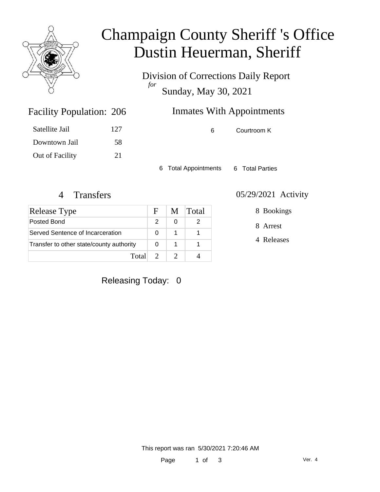

## Champaign County Sheriff 's Office Dustin Heuerman, Sheriff

Division of Corrections Daily Report *for* Sunday, May 30, 2021

| 206 | <b>Inmates With Appointments</b> |  |
|-----|----------------------------------|--|
|     |                                  |  |

| Satellite Jail  | 127 |
|-----------------|-----|
| Downtown Jail   | 58  |
| Out of Facility | 21  |

Facility Population: 206

6 Courtroom K

6 Total Appointments 6 Total Parties

| Release Type                             | Н. | M | <b>Total</b> |
|------------------------------------------|----|---|--------------|
| Posted Bond                              |    |   |              |
| Served Sentence of Incarceration         |    |   |              |
| Transfer to other state/county authority |    |   |              |
| Total                                    |    |   |              |

#### 4 Transfers 05/29/2021 Activity

8 Bookings

8 Arrest

4 Releases

#### Releasing Today: 0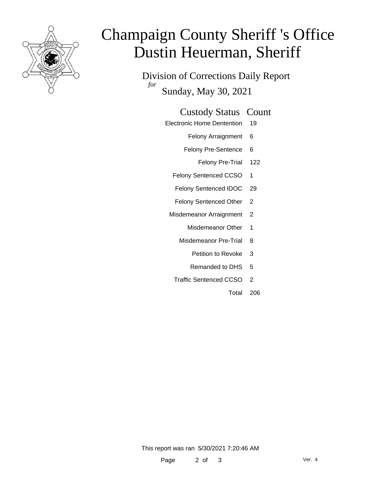

# Champaign County Sheriff 's Office Dustin Heuerman, Sheriff

Division of Corrections Daily Report *for* Sunday, May 30, 2021

Electronic Home Dentention 19

Felony Arraignment 6

- Felony Pre-Sentence 6
	- Felony Pre-Trial 122
- Felony Sentenced CCSO 1
- Felony Sentenced IDOC 29
- Felony Sentenced Other 2
- Misdemeanor Arraignment 2
	- Misdemeanor Other 1
	- Misdemeanor Pre-Trial 8
		- Petition to Revoke 3
		- Remanded to DHS 5
	- Traffic Sentenced CCSO 2
		- Total 206

This report was ran 5/30/2021 7:20:46 AM